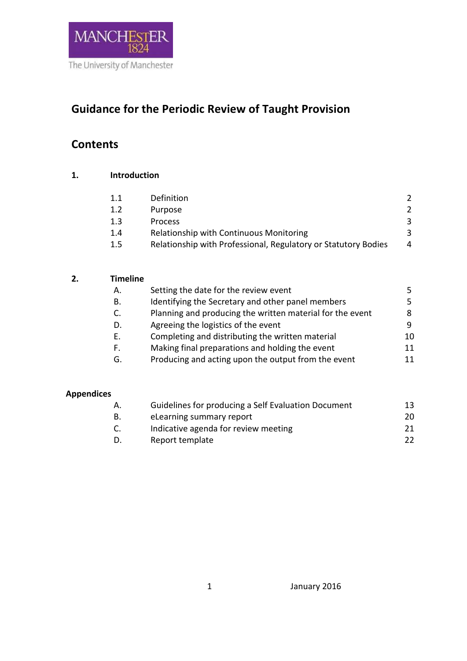

# **Guidance for the Periodic Review of Taught Provision**

## **Contents**

| 1. | <b>Introduction</b> |                                                                |               |  |
|----|---------------------|----------------------------------------------------------------|---------------|--|
|    | 1.1                 | Definition                                                     | $\mathcal{P}$ |  |
|    | 1.2                 | Purpose                                                        | 2             |  |
|    | 1.3                 | Process                                                        | 3             |  |
|    | 1.4                 | Relationship with Continuous Monitoring                        | 3             |  |
|    | $1.5\,$             | Relationship with Professional, Regulatory or Statutory Bodies | 4             |  |

| 2. | <b>Timeline</b> |
|----|-----------------|
|    |                 |

| Α. | Setting the date for the review event                     | 5. |
|----|-----------------------------------------------------------|----|
| В. | Identifying the Secretary and other panel members         | 5. |
| C. | Planning and producing the written material for the event | 8  |
| D. | Agreeing the logistics of the event                       | 9  |
| Ε. | Completing and distributing the written material          | 10 |
| F. | Making final preparations and holding the event           | 11 |
| G. | Producing and acting upon the output from the event       | 11 |
|    |                                                           |    |

## **Appendices**

| Α. | Guidelines for producing a Self Evaluation Document | 13  |
|----|-----------------------------------------------------|-----|
| В. | eLearning summary report                            | 20  |
| C. | Indicative agenda for review meeting                | 21. |
| D. | Report template                                     | 22  |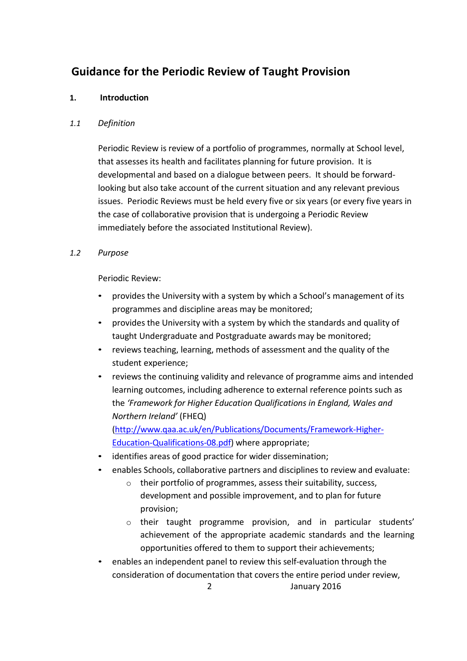## **Guidance for the Periodic Review of Taught Provision**

## **1. Introduction**

## *1.1 Definition*

Periodic Review is review of a portfolio of programmes, normally at School level, that assesses its health and facilitates planning for future provision. It is developmental and based on a dialogue between peers. It should be forwardlooking but also take account of the current situation and any relevant previous issues. Periodic Reviews must be held every five or six years (or every five years in the case of collaborative provision that is undergoing a Periodic Review immediately before the associated Institutional Review).

## *1.2 Purpose*

Periodic Review:

- provides the University with a system by which a School's management of its programmes and discipline areas may be monitored;
- provides the University with a system by which the standards and quality of taught Undergraduate and Postgraduate awards may be monitored;
- reviews teaching, learning, methods of assessment and the quality of the student experience;
- reviews the continuing validity and relevance of programme aims and intended learning outcomes, including adherence to external reference points such as the *'Framework for Higher Education Qualifications in England, Wales and Northern Ireland'* (FHEQ) [\(http://www.qaa.ac.uk/en/Publications/Documents/Framework-Higher-](http://www.qaa.ac.uk/en/Publications/Documents/Framework-Higher-Education-Qualifications-08.pdf)

[Education-Qualifications-08.pdf\)](http://www.qaa.ac.uk/en/Publications/Documents/Framework-Higher-Education-Qualifications-08.pdf) where appropriate;

- identifies areas of good practice for wider dissemination;
- enables Schools, collaborative partners and disciplines to review and evaluate:
	- o their portfolio of programmes, assess their suitability, success, development and possible improvement, and to plan for future provision;
	- o their taught programme provision, and in particular students' achievement of the appropriate academic standards and the learning opportunities offered to them to support their achievements;
- 2 January 2016 • enables an independent panel to review this self-evaluation through the consideration of documentation that covers the entire period under review,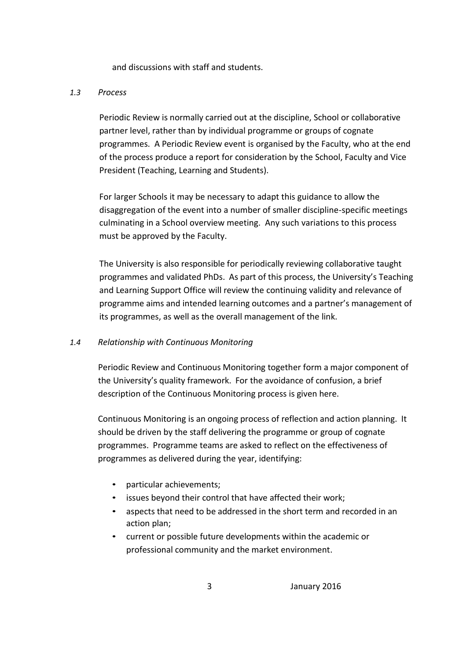and discussions with staff and students.

## *1.3 Process*

Periodic Review is normally carried out at the discipline, School or collaborative partner level, rather than by individual programme or groups of cognate programmes. A Periodic Review event is organised by the Faculty, who at the end of the process produce a report for consideration by the School, Faculty and Vice President (Teaching, Learning and Students).

For larger Schools it may be necessary to adapt this guidance to allow the disaggregation of the event into a number of smaller discipline-specific meetings culminating in a School overview meeting. Any such variations to this process must be approved by the Faculty.

The University is also responsible for periodically reviewing collaborative taught programmes and validated PhDs. As part of this process, the University's Teaching and Learning Support Office will review the continuing validity and relevance of programme aims and intended learning outcomes and a partner's management of its programmes, as well as the overall management of the link.

## *1.4 Relationship with Continuous Monitoring*

Periodic Review and Continuous Monitoring together form a major component of the University's quality framework. For the avoidance of confusion, a brief description of the Continuous Monitoring process is given here.

Continuous Monitoring is an ongoing process of reflection and action planning. It should be driven by the staff delivering the programme or group of cognate programmes. Programme teams are asked to reflect on the effectiveness of programmes as delivered during the year, identifying:

- particular achievements;
- issues beyond their control that have affected their work;
- aspects that need to be addressed in the short term and recorded in an action plan;
- current or possible future developments within the academic or professional community and the market environment.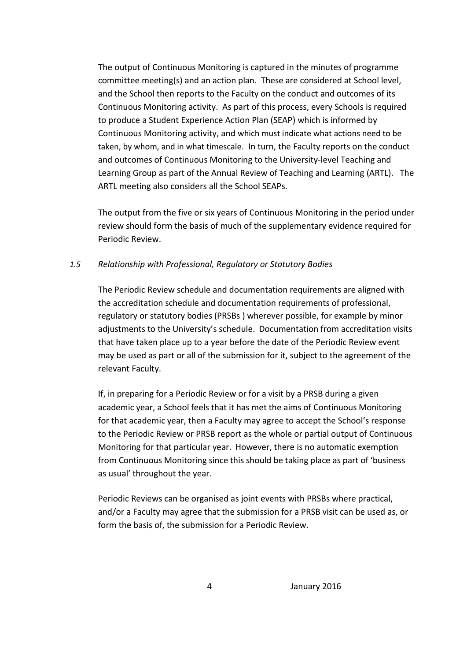The output of Continuous Monitoring is captured in the minutes of programme committee meeting(s) and an action plan. These are considered at School level, and the School then reports to the Faculty on the conduct and outcomes of its Continuous Monitoring activity. As part of this process, every Schools is required to produce a Student Experience Action Plan (SEAP) which is informed by Continuous Monitoring activity, and which must indicate what actions need to be taken, by whom, and in what timescale. In turn, the Faculty reports on the conduct and outcomes of Continuous Monitoring to the University-level Teaching and Learning Group as part of the Annual Review of Teaching and Learning (ARTL). The ARTL meeting also considers all the School SEAPs.

The output from the five or six years of Continuous Monitoring in the period under review should form the basis of much of the supplementary evidence required for Periodic Review.

#### *1.5 Relationship with Professional, Regulatory or Statutory Bodies*

The Periodic Review schedule and documentation requirements are aligned with the accreditation schedule and documentation requirements of professional, regulatory or statutory bodies (PRSBs ) wherever possible, for example by minor adjustments to the University's schedule. Documentation from accreditation visits that have taken place up to a year before the date of the Periodic Review event may be used as part or all of the submission for it, subject to the agreement of the relevant Faculty.

If, in preparing for a Periodic Review or for a visit by a PRSB during a given academic year, a School feels that it has met the aims of Continuous Monitoring for that academic year, then a Faculty may agree to accept the School's response to the Periodic Review or PRSB report as the whole or partial output of Continuous Monitoring for that particular year. However, there is no automatic exemption from Continuous Monitoring since this should be taking place as part of 'business as usual' throughout the year.

Periodic Reviews can be organised as joint events with PRSBs where practical, and/or a Faculty may agree that the submission for a PRSB visit can be used as, or form the basis of, the submission for a Periodic Review.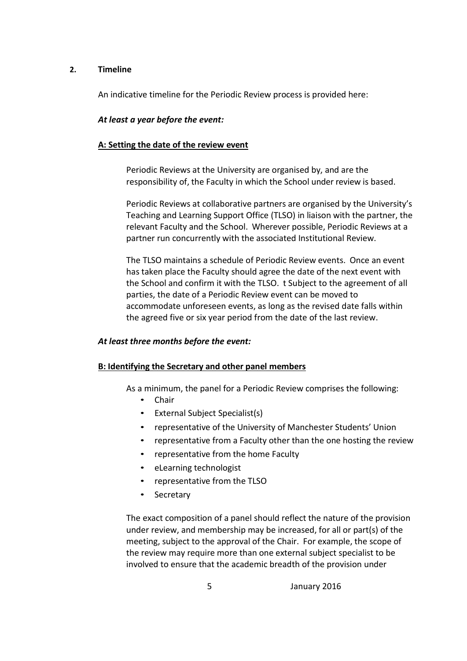#### **2. Timeline**

An indicative timeline for the Periodic Review process is provided here:

#### *At least a year before the event:*

#### **A: Setting the date of the review event**

Periodic Reviews at the University are organised by, and are the responsibility of, the Faculty in which the School under review is based.

Periodic Reviews at collaborative partners are organised by the University's Teaching and Learning Support Office (TLSO) in liaison with the partner, the relevant Faculty and the School. Wherever possible, Periodic Reviews at a partner run concurrently with the associated Institutional Review.

The TLSO maintains a schedule of Periodic Review events. Once an event has taken place the Faculty should agree the date of the next event with the School and confirm it with the TLSO. t Subject to the agreement of all parties, the date of a Periodic Review event can be moved to accommodate unforeseen events, as long as the revised date falls within the agreed five or six year period from the date of the last review.

#### *At least three months before the event:*

#### **B: Identifying the Secretary and other panel members**

As a minimum, the panel for a Periodic Review comprises the following:

- Chair
- External Subject Specialist(s)
- representative of the University of Manchester Students' Union
- representative from a Faculty other than the one hosting the review
- representative from the home Faculty
- eLearning technologist
- representative from the TLSO
- **Secretary**

The exact composition of a panel should reflect the nature of the provision under review, and membership may be increased, for all or part(s) of the meeting, subject to the approval of the Chair. For example, the scope of the review may require more than one external subject specialist to be involved to ensure that the academic breadth of the provision under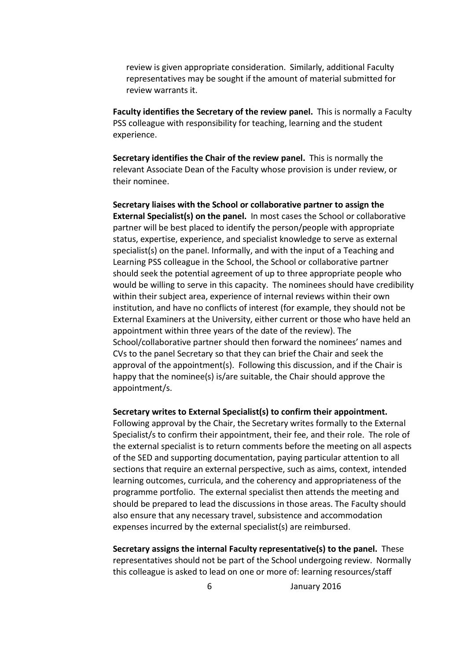review is given appropriate consideration. Similarly, additional Faculty representatives may be sought if the amount of material submitted for review warrants it.

**Faculty identifies the Secretary of the review panel.** This is normally a Faculty PSS colleague with responsibility for teaching, learning and the student experience.

**Secretary identifies the Chair of the review panel.** This is normally the relevant Associate Dean of the Faculty whose provision is under review, or their nominee.

**Secretary liaises with the School or collaborative partner to assign the External Specialist(s) on the panel.** In most cases the School or collaborative partner will be best placed to identify the person/people with appropriate status, expertise, experience, and specialist knowledge to serve as external specialist(s) on the panel. Informally, and with the input of a Teaching and Learning PSS colleague in the School, the School or collaborative partner should seek the potential agreement of up to three appropriate people who would be willing to serve in this capacity. The nominees should have credibility within their subject area, experience of internal reviews within their own institution, and have no conflicts of interest (for example, they should not be External Examiners at the University, either current or those who have held an appointment within three years of the date of the review). The School/collaborative partner should then forward the nominees' names and CVs to the panel Secretary so that they can brief the Chair and seek the approval of the appointment(s). Following this discussion, and if the Chair is happy that the nominee(s) is/are suitable, the Chair should approve the appointment/s.

**Secretary writes to External Specialist(s) to confirm their appointment.**

Following approval by the Chair, the Secretary writes formally to the External Specialist/s to confirm their appointment, their fee, and their role. The role of the external specialist is to return comments before the meeting on all aspects of the SED and supporting documentation, paying particular attention to all sections that require an external perspective, such as aims, context, intended learning outcomes, curricula, and the coherency and appropriateness of the programme portfolio. The external specialist then attends the meeting and should be prepared to lead the discussions in those areas. The Faculty should also ensure that any necessary travel, subsistence and accommodation expenses incurred by the external specialist(s) are reimbursed.

**Secretary assigns the internal Faculty representative(s) to the panel.** These representatives should not be part of the School undergoing review. Normally this colleague is asked to lead on one or more of: learning resources/staff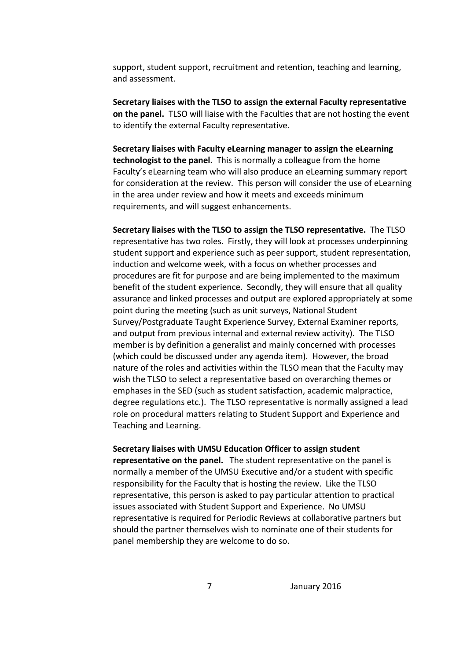support, student support, recruitment and retention, teaching and learning, and assessment.

**Secretary liaises with the TLSO to assign the external Faculty representative on the panel.** TLSO will liaise with the Faculties that are not hosting the event to identify the external Faculty representative.

**Secretary liaises with Faculty eLearning manager to assign the eLearning technologist to the panel.** This is normally a colleague from the home Faculty's eLearning team who will also produce an eLearning summary report for consideration at the review. This person will consider the use of eLearning in the area under review and how it meets and exceeds minimum requirements, and will suggest enhancements.

**Secretary liaises with the TLSO to assign the TLSO representative.** The TLSO representative has two roles. Firstly, they will look at processes underpinning student support and experience such as peer support, student representation, induction and welcome week, with a focus on whether processes and procedures are fit for purpose and are being implemented to the maximum benefit of the student experience. Secondly, they will ensure that all quality assurance and linked processes and output are explored appropriately at some point during the meeting (such as unit surveys, National Student Survey/Postgraduate Taught Experience Survey, External Examiner reports, and output from previous internal and external review activity). The TLSO member is by definition a generalist and mainly concerned with processes (which could be discussed under any agenda item). However, the broad nature of the roles and activities within the TLSO mean that the Faculty may wish the TLSO to select a representative based on overarching themes or emphases in the SED (such as student satisfaction, academic malpractice, degree regulations etc.). The TLSO representative is normally assigned a lead role on procedural matters relating to Student Support and Experience and Teaching and Learning.

#### **Secretary liaises with UMSU Education Officer to assign student**

**representative on the panel.** The student representative on the panel is normally a member of the UMSU Executive and/or a student with specific responsibility for the Faculty that is hosting the review. Like the TLSO representative, this person is asked to pay particular attention to practical issues associated with Student Support and Experience. No UMSU representative is required for Periodic Reviews at collaborative partners but should the partner themselves wish to nominate one of their students for panel membership they are welcome to do so.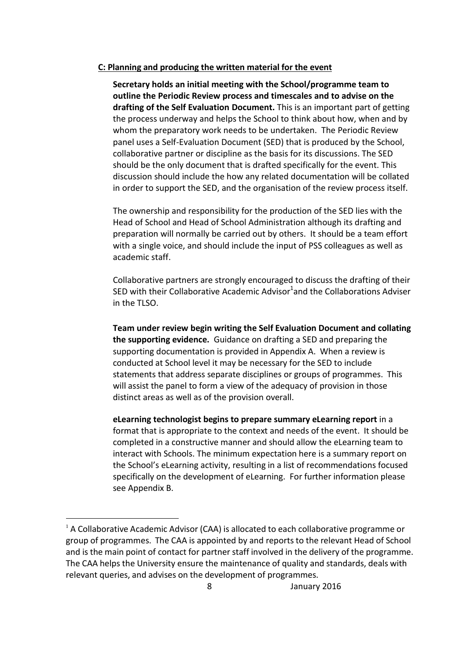#### **C: Planning and producing the written material for the event**

**Secretary holds an initial meeting with the School/programme team to outline the Periodic Review process and timescales and to advise on the drafting of the Self Evaluation Document.** This is an important part of getting the process underway and helps the School to think about how, when and by whom the preparatory work needs to be undertaken. The Periodic Review panel uses a Self-Evaluation Document (SED) that is produced by the School, collaborative partner or discipline as the basis for its discussions. The SED should be the only document that is drafted specifically for the event. This discussion should include the how any related documentation will be collated in order to support the SED, and the organisation of the review process itself.

The ownership and responsibility for the production of the SED lies with the Head of School and Head of School Administration although its drafting and preparation will normally be carried out by others. It should be a team effort with a single voice, and should include the input of PSS colleagues as well as academic staff.

Collaborative partners are strongly encouraged to discuss the drafting of their SED with their Collaborative Academic Advisor $^1$ and the Collaborations Adviser in the TLSO.

**Team under review begin writing the Self Evaluation Document and collating the supporting evidence.** Guidance on drafting a SED and preparing the supporting documentation is provided in Appendix A. When a review is conducted at School level it may be necessary for the SED to include statements that address separate disciplines or groups of programmes. This will assist the panel to form a view of the adequacy of provision in those distinct areas as well as of the provision overall.

**eLearning technologist begins to prepare summary eLearning report** in a format that is appropriate to the context and needs of the event. It should be completed in a constructive manner and should allow the eLearning team to interact with Schools. The minimum expectation here is a summary report on the School's eLearning activity, resulting in a list of recommendations focused specifically on the development of eLearning. For further information please see Appendix B.

1

 $<sup>1</sup>$  A Collaborative Academic Advisor (CAA) is allocated to each collaborative programme or</sup> group of programmes. The CAA is appointed by and reports to the relevant Head of School and is the main point of contact for partner staff involved in the delivery of the programme. The CAA helps the University ensure the maintenance of quality and standards, deals with relevant queries, and advises on the development of programmes.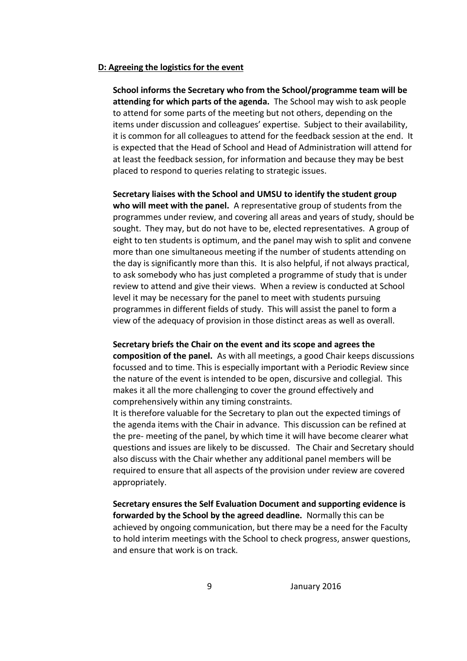#### **D: Agreeing the logistics for the event**

**School informs the Secretary who from the School/programme team will be attending for which parts of the agenda.** The School may wish to ask people to attend for some parts of the meeting but not others, depending on the items under discussion and colleagues' expertise. Subject to their availability, it is common for all colleagues to attend for the feedback session at the end. It is expected that the Head of School and Head of Administration will attend for at least the feedback session, for information and because they may be best placed to respond to queries relating to strategic issues.

**Secretary liaises with the School and UMSU to identify the student group who will meet with the panel.** A representative group of students from the programmes under review, and covering all areas and years of study, should be sought. They may, but do not have to be, elected representatives. A group of eight to ten students is optimum, and the panel may wish to split and convene more than one simultaneous meeting if the number of students attending on the day is significantly more than this. It is also helpful, if not always practical, to ask somebody who has just completed a programme of study that is under review to attend and give their views. When a review is conducted at School level it may be necessary for the panel to meet with students pursuing programmes in different fields of study. This will assist the panel to form a view of the adequacy of provision in those distinct areas as well as overall.

**Secretary briefs the Chair on the event and its scope and agrees the composition of the panel.** As with all meetings, a good Chair keeps discussions focussed and to time. This is especially important with a Periodic Review since the nature of the event is intended to be open, discursive and collegial. This makes it all the more challenging to cover the ground effectively and comprehensively within any timing constraints.

It is therefore valuable for the Secretary to plan out the expected timings of the agenda items with the Chair in advance. This discussion can be refined at the pre- meeting of the panel, by which time it will have become clearer what questions and issues are likely to be discussed. The Chair and Secretary should also discuss with the Chair whether any additional panel members will be required to ensure that all aspects of the provision under review are covered appropriately.

**Secretary ensures the Self Evaluation Document and supporting evidence is forwarded by the School by the agreed deadline.** Normally this can be achieved by ongoing communication, but there may be a need for the Faculty to hold interim meetings with the School to check progress, answer questions, and ensure that work is on track.

9 January 2016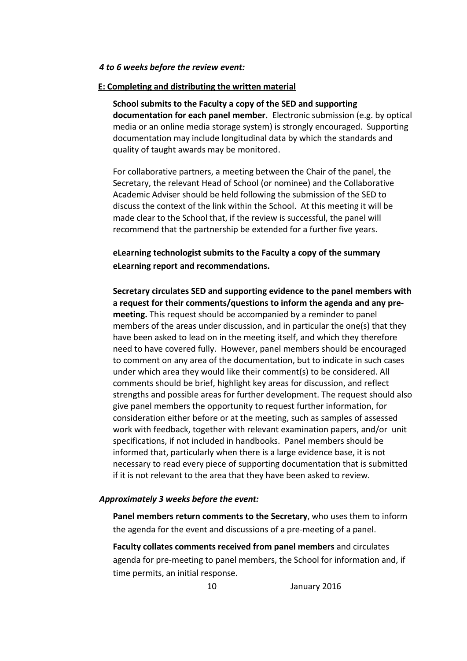#### *4 to 6 weeks before the review event:*

#### **E: Completing and distributing the written material**

**School submits to the Faculty a copy of the SED and supporting documentation for each panel member.** Electronic submission (e.g. by optical media or an online media storage system) is strongly encouraged. Supporting documentation may include longitudinal data by which the standards and quality of taught awards may be monitored.

For collaborative partners, a meeting between the Chair of the panel, the Secretary, the relevant Head of School (or nominee) and the Collaborative Academic Adviser should be held following the submission of the SED to discuss the context of the link within the School. At this meeting it will be made clear to the School that, if the review is successful, the panel will recommend that the partnership be extended for a further five years.

## **eLearning technologist submits to the Faculty a copy of the summary eLearning report and recommendations.**

**Secretary circulates SED and supporting evidence to the panel members with a request for their comments/questions to inform the agenda and any premeeting.** This request should be accompanied by a reminder to panel members of the areas under discussion, and in particular the one(s) that they have been asked to lead on in the meeting itself, and which they therefore need to have covered fully. However, panel members should be encouraged to comment on any area of the documentation, but to indicate in such cases under which area they would like their comment(s) to be considered. All comments should be brief, highlight key areas for discussion, and reflect strengths and possible areas for further development. The request should also give panel members the opportunity to request further information, for consideration either before or at the meeting, such as samples of assessed work with feedback, together with relevant examination papers, and/or unit specifications, if not included in handbooks. Panel members should be informed that, particularly when there is a large evidence base, it is not necessary to read every piece of supporting documentation that is submitted if it is not relevant to the area that they have been asked to review.

#### *Approximately 3 weeks before the event:*

**Panel members return comments to the Secretary**, who uses them to inform the agenda for the event and discussions of a pre-meeting of a panel.

**Faculty collates comments received from panel members** and circulates agenda for pre-meeting to panel members, the School for information and, if time permits, an initial response.

10 January 2016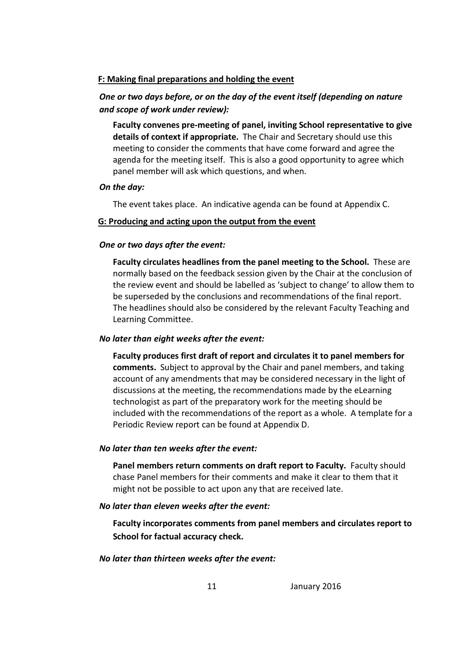## **F: Making final preparations and holding the event**

## *One or two days before, or on the day of the event itself (depending on nature and scope of work under review):*

**Faculty convenes pre-meeting of panel, inviting School representative to give details of context if appropriate.** The Chair and Secretary should use this meeting to consider the comments that have come forward and agree the agenda for the meeting itself. This is also a good opportunity to agree which panel member will ask which questions, and when.

#### *On the day:*

The event takes place. An indicative agenda can be found at Appendix C.

#### **G: Producing and acting upon the output from the event**

#### *One or two days after the event:*

**Faculty circulates headlines from the panel meeting to the School.** These are normally based on the feedback session given by the Chair at the conclusion of the review event and should be labelled as 'subject to change' to allow them to be superseded by the conclusions and recommendations of the final report. The headlines should also be considered by the relevant Faculty Teaching and Learning Committee.

#### *No later than eight weeks after the event:*

**Faculty produces first draft of report and circulates it to panel members for comments.** Subject to approval by the Chair and panel members, and taking account of any amendments that may be considered necessary in the light of discussions at the meeting, the recommendations made by the eLearning technologist as part of the preparatory work for the meeting should be included with the recommendations of the report as a whole. A template for a Periodic Review report can be found at Appendix D.

#### *No later than ten weeks after the event:*

**Panel members return comments on draft report to Faculty.** Faculty should chase Panel members for their comments and make it clear to them that it might not be possible to act upon any that are received late.

#### *No later than eleven weeks after the event:*

**Faculty incorporates comments from panel members and circulates report to School for factual accuracy check.**

*No later than thirteen weeks after the event:*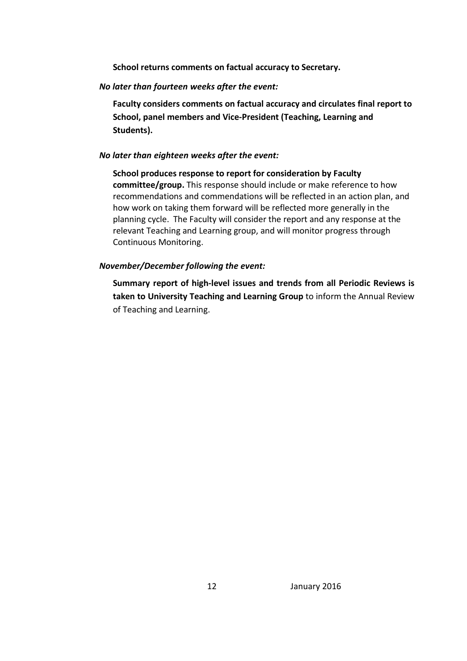**School returns comments on factual accuracy to Secretary.**

*No later than fourteen weeks after the event:*

**Faculty considers comments on factual accuracy and circulates final report to School, panel members and Vice-President (Teaching, Learning and Students).**

*No later than eighteen weeks after the event:*

**School produces response to report for consideration by Faculty committee/group.** This response should include or make reference to how recommendations and commendations will be reflected in an action plan, and how work on taking them forward will be reflected more generally in the planning cycle. The Faculty will consider the report and any response at the relevant Teaching and Learning group, and will monitor progress through Continuous Monitoring.

## *November/December following the event:*

**Summary report of high-level issues and trends from all Periodic Reviews is taken to University Teaching and Learning Group** to inform the Annual Review of Teaching and Learning.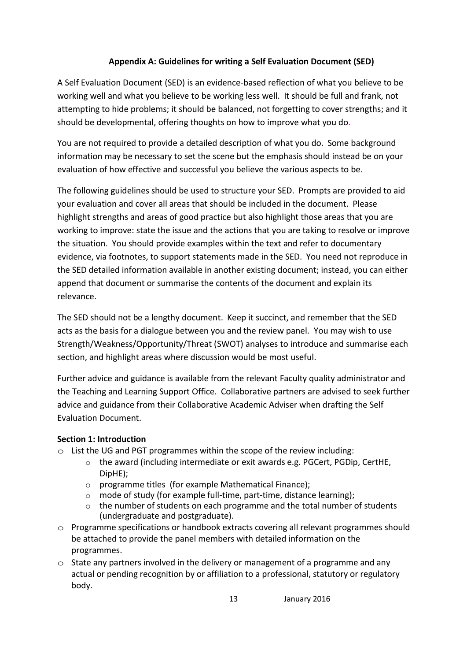## **Appendix A: Guidelines for writing a Self Evaluation Document (SED)**

A Self Evaluation Document (SED) is an evidence-based reflection of what you believe to be working well and what you believe to be working less well. It should be full and frank, not attempting to hide problems; it should be balanced, not forgetting to cover strengths; and it should be developmental, offering thoughts on how to improve what you do.

You are not required to provide a detailed description of what you do. Some background information may be necessary to set the scene but the emphasis should instead be on your evaluation of how effective and successful you believe the various aspects to be.

The following guidelines should be used to structure your SED. Prompts are provided to aid your evaluation and cover all areas that should be included in the document. Please highlight strengths and areas of good practice but also highlight those areas that you are working to improve: state the issue and the actions that you are taking to resolve or improve the situation. You should provide examples within the text and refer to documentary evidence, via footnotes, to support statements made in the SED. You need not reproduce in the SED detailed information available in another existing document; instead, you can either append that document or summarise the contents of the document and explain its relevance.

The SED should not be a lengthy document. Keep it succinct, and remember that the SED acts as the basis for a dialogue between you and the review panel. You may wish to use Strength/Weakness/Opportunity/Threat (SWOT) analyses to introduce and summarise each section, and highlight areas where discussion would be most useful.

Further advice and guidance is available from the relevant Faculty quality administrator and the Teaching and Learning Support Office. Collaborative partners are advised to seek further advice and guidance from their Collaborative Academic Adviser when drafting the Self Evaluation Document.

## **Section 1: Introduction**

- $\circ$  List the UG and PGT programmes within the scope of the review including:
	- $\circ$  the award (including intermediate or exit awards e.g. PGCert, PGDip, CertHE, DipHE);
	- o programme titles (for example Mathematical Finance);
	- o mode of study (for example full-time, part-time, distance learning);
	- o the number of students on each programme and the total number of students (undergraduate and postgraduate).
- $\circ$  Programme specifications or handbook extracts covering all relevant programmes should be attached to provide the panel members with detailed information on the programmes.
- $\circ$  State any partners involved in the delivery or management of a programme and any actual or pending recognition by or affiliation to a professional, statutory or regulatory body.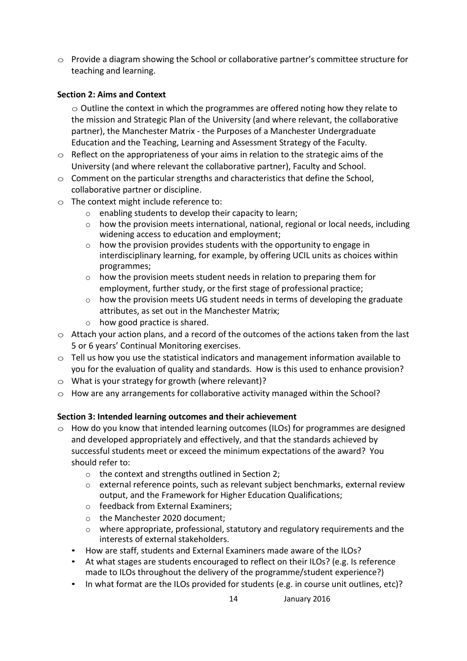$\circ$  Provide a diagram showing the School or collaborative partner's committee structure for teaching and learning.

## **Section 2: Aims and Context**

 $\circ$  Outline the context in which the programmes are offered noting how they relate to the mission and Strategic Plan of the University (and where relevant, the collaborative partner), the Manchester Matrix - the Purposes of a Manchester Undergraduate Education and the Teaching, Learning and Assessment Strategy of the Faculty.

- $\circ$  Reflect on the appropriateness of your aims in relation to the strategic aims of the University (and where relevant the collaborative partner), Faculty and School.
- $\circ$  Comment on the particular strengths and characteristics that define the School, collaborative partner or discipline.
- $\circ$  The context might include reference to:
	- o enabling students to develop their capacity to learn;
	- $\circ$  how the provision meets international, national, regional or local needs, including widening access to education and employment;
	- $\circ$  how the provision provides students with the opportunity to engage in interdisciplinary learning, for example, by offering UCIL units as choices within programmes;
	- o how the provision meets student needs in relation to preparing them for employment, further study, or the first stage of professional practice;
	- $\circ$  how the provision meets UG student needs in terms of developing the graduate attributes, as set out in the Manchester Matrix;
	- o how good practice is shared.
- $\circ$  Attach your action plans, and a record of the outcomes of the actions taken from the last 5 or 6 years' Continual Monitoring exercises.
- $\circ$  Tell us how you use the statistical indicators and management information available to you for the evaluation of quality and standards. How is this used to enhance provision?
- $\circ$  What is your strategy for growth (where relevant)?
- $\circ$  How are any arrangements for collaborative activity managed within the School?

## **Section 3: Intended learning outcomes and their achievement**

- $\circ$  How do you know that intended learning outcomes (ILOs) for programmes are designed and developed appropriately and effectively, and that the standards achieved by successful students meet or exceed the minimum expectations of the award? You should refer to:
	- o the context and strengths outlined in Section 2;
	- o external reference points, such as relevant subject benchmarks, external review output, and the Framework for Higher Education Qualifications;
	- o feedback from External Examiners;
	- o the Manchester 2020 document;
	- $\circ$  where appropriate, professional, statutory and regulatory requirements and the interests of external stakeholders.
	- How are staff, students and External Examiners made aware of the ILOs?
	- At what stages are students encouraged to reflect on their ILOs? (e.g. Is reference made to ILOs throughout the delivery of the programme/student experience?)
	- In what format are the ILOs provided for students (e.g. in course unit outlines, etc)?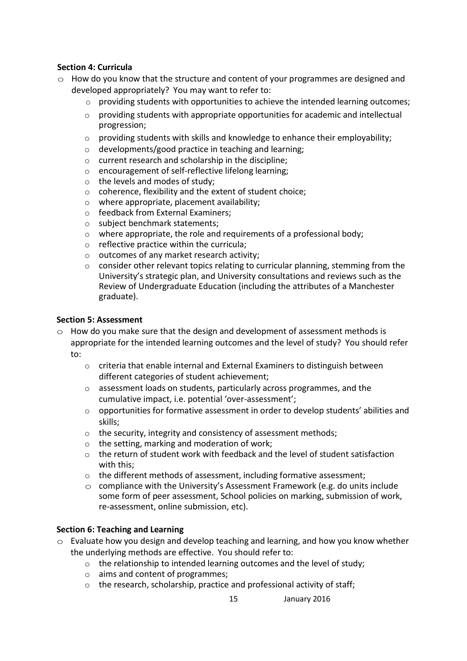## **Section 4: Curricula**

- $\circ$  How do you know that the structure and content of your programmes are designed and developed appropriately? You may want to refer to:
	- $\circ$  providing students with opportunities to achieve the intended learning outcomes;
	- $\circ$  providing students with appropriate opportunities for academic and intellectual progression;
	- o providing students with skills and knowledge to enhance their employability;
	- o developments/good practice in teaching and learning;
	- o current research and scholarship in the discipline;
	- o encouragement of self-reflective lifelong learning;
	- o the levels and modes of study;
	- o coherence, flexibility and the extent of student choice;
	- o where appropriate, placement availability;
	- o feedback from External Examiners;
	- o subject benchmark statements;
	- o where appropriate, the role and requirements of a professional body;
	- o reflective practice within the curricula;
	- o outcomes of any market research activity;
	- $\circ$  consider other relevant topics relating to curricular planning, stemming from the University's strategic plan, and University consultations and reviews such as the Review of Undergraduate Education (including the attributes of a Manchester graduate).

#### **Section 5: Assessment**

- $\circ$  How do you make sure that the design and development of assessment methods is appropriate for the intended learning outcomes and the level of study? You should refer to:
	- $\circ$  criteria that enable internal and External Examiners to distinguish between different categories of student achievement;
	- o assessment loads on students, particularly across programmes, and the cumulative impact, i.e. potential 'over-assessment';
	- $\circ$  opportunities for formative assessment in order to develop students' abilities and skills;
	- o the security, integrity and consistency of assessment methods;
	- o the setting, marking and moderation of work;
	- $\circ$  the return of student work with feedback and the level of student satisfaction with this;
	- o the different methods of assessment, including formative assessment;
	- $\circ$  compliance with the University's Assessment Framework (e.g. do units include some form of peer assessment, School policies on marking, submission of work, re-assessment, online submission, etc).

#### **Section 6: Teaching and Learning**

- $\circ$  Evaluate how you design and develop teaching and learning, and how you know whether the underlying methods are effective. You should refer to:
	- o the relationship to intended learning outcomes and the level of study;
	- o aims and content of programmes;
	- o the research, scholarship, practice and professional activity of staff;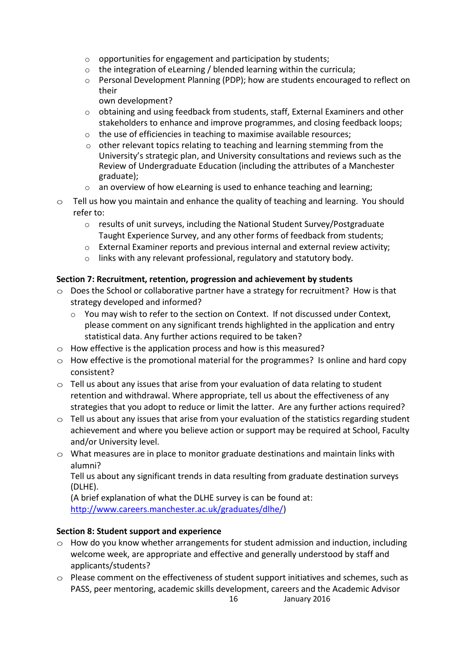- $\circ$  opportunities for engagement and participation by students;
- o the integration of eLearning / blended learning within the curricula;
- o Personal Development Planning (PDP); how are students encouraged to reflect on their

own development?

- $\circ$  obtaining and using feedback from students, staff, External Examiners and other stakeholders to enhance and improve programmes, and closing feedback loops;
- o the use of efficiencies in teaching to maximise available resources;
- $\circ$  other relevant topics relating to teaching and learning stemming from the University's strategic plan, and University consultations and reviews such as the Review of Undergraduate Education (including the attributes of a Manchester graduate);
- o an overview of how eLearning is used to enhance teaching and learning;
- $\circ$  Tell us how you maintain and enhance the quality of teaching and learning. You should refer to:
	- o results of unit surveys, including the National Student Survey/Postgraduate Taught Experience Survey, and any other forms of feedback from students;
	- $\circ$  External Examiner reports and previous internal and external review activity;
	- o links with any relevant professional, regulatory and statutory body.

## **Section 7: Recruitment, retention, progression and achievement by students**

- $\circ$  Does the School or collaborative partner have a strategy for recruitment? How is that strategy developed and informed?
	- $\circ$  You may wish to refer to the section on Context. If not discussed under Context, please comment on any significant trends highlighted in the application and entry statistical data. Any further actions required to be taken?
- $\circ$  How effective is the application process and how is this measured?
- $\circ$  How effective is the promotional material for the programmes? Is online and hard copy consistent?
- $\circ$  Tell us about any issues that arise from your evaluation of data relating to student retention and withdrawal. Where appropriate, tell us about the effectiveness of any strategies that you adopt to reduce or limit the latter. Are any further actions required?
- $\circ$  Tell us about any issues that arise from your evaluation of the statistics regarding student achievement and where you believe action or support may be required at School, Faculty and/or University level.
- $\circ$  What measures are in place to monitor graduate destinations and maintain links with alumni?

Tell us about any significant trends in data resulting from graduate destination surveys (DLHE).

(A brief explanation of what the DLHE survey is can be found at: [http://www.careers.manchester.ac.uk/graduates/dlhe/\)](http://www.careers.manchester.ac.uk/graduates/dlhe/)

## **Section 8: Student support and experience**

- $\circ$  How do you know whether arrangements for student admission and induction, including welcome week, are appropriate and effective and generally understood by staff and applicants/students?
- 16 January 2016  $\circ$  Please comment on the effectiveness of student support initiatives and schemes, such as PASS, peer mentoring, academic skills development, careers and the Academic Advisor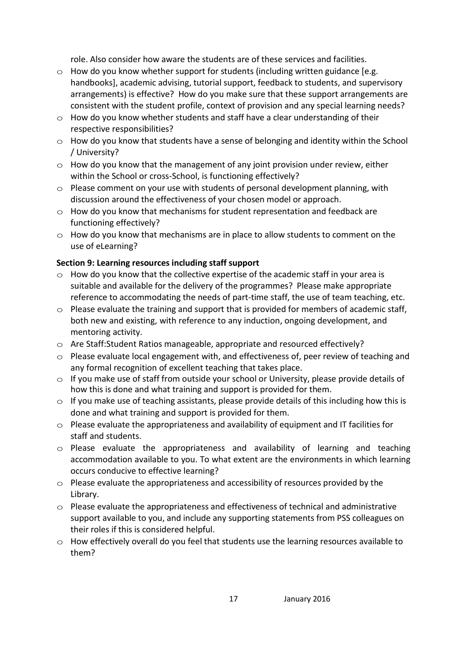role. Also consider how aware the students are of these services and facilities.

- $\circ$  How do you know whether support for students (including written guidance [e.g. handbooks], academic advising, tutorial support, feedback to students, and supervisory arrangements) is effective? How do you make sure that these support arrangements are consistent with the student profile, context of provision and any special learning needs?
- $\circ$  How do you know whether students and staff have a clear understanding of their respective responsibilities?
- $\circ$  How do you know that students have a sense of belonging and identity within the School / University?
- $\circ$  How do you know that the management of any joint provision under review, either within the School or cross-School, is functioning effectively?
- $\circ$  Please comment on your use with students of personal development planning, with discussion around the effectiveness of your chosen model or approach.
- $\circ$  How do you know that mechanisms for student representation and feedback are functioning effectively?
- $\circ$  How do you know that mechanisms are in place to allow students to comment on the use of eLearning?

## **Section 9: Learning resources including staff support**

- $\circ$  How do you know that the collective expertise of the academic staff in your area is suitable and available for the delivery of the programmes? Please make appropriate reference to accommodating the needs of part-time staff, the use of team teaching, etc.
- $\circ$  Please evaluate the training and support that is provided for members of academic staff, both new and existing, with reference to any induction, ongoing development, and mentoring activity.
- $\circ$  Are Staff: Student Ratios manageable, appropriate and resourced effectively?
- o Please evaluate local engagement with, and effectiveness of, peer review of teaching and any formal recognition of excellent teaching that takes place.
- $\circ$  If you make use of staff from outside your school or University, please provide details of how this is done and what training and support is provided for them.
- $\circ$  If you make use of teaching assistants, please provide details of this including how this is done and what training and support is provided for them.
- $\circ$  Please evaluate the appropriateness and availability of equipment and IT facilities for staff and students.
- $\circ$  Please evaluate the appropriateness and availability of learning and teaching accommodation available to you. To what extent are the environments in which learning occurs conducive to effective learning?
- $\circ$  Please evaluate the appropriateness and accessibility of resources provided by the Library.
- $\circ$  Please evaluate the appropriateness and effectiveness of technical and administrative support available to you, and include any supporting statements from PSS colleagues on their roles if this is considered helpful.
- $\circ$  How effectively overall do you feel that students use the learning resources available to them?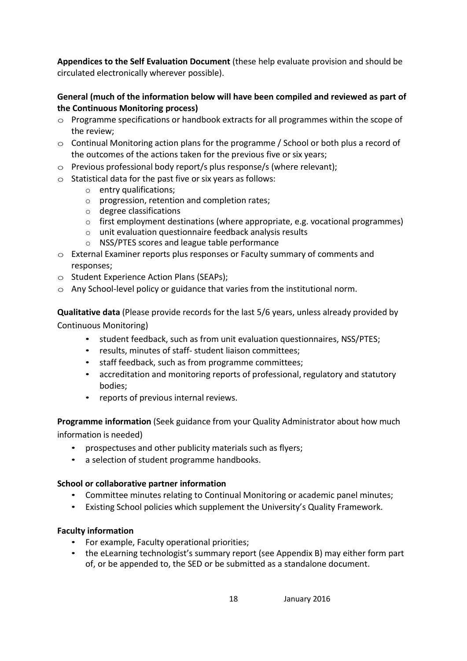**Appendices to the Self Evaluation Document** (these help evaluate provision and should be circulated electronically wherever possible).

## **General (much of the information below will have been compiled and reviewed as part of the Continuous Monitoring process)**

- $\circ$  Programme specifications or handbook extracts for all programmes within the scope of the review;
- $\circ$  Continual Monitoring action plans for the programme / School or both plus a record of the outcomes of the actions taken for the previous five or six years;
- $\circ$  Previous professional body report/s plus response/s (where relevant);
- $\circ$  Statistical data for the past five or six years as follows:
	- o entry qualifications;
	- o progression, retention and completion rates;
	- o degree classifications
	- $\circ$  first employment destinations (where appropriate, e.g. vocational programmes)
	- o unit evaluation questionnaire feedback analysis results
	- o NSS/PTES scores and league table performance
- $\circ$  External Examiner reports plus responses or Faculty summary of comments and responses;
- $\circ$  Student Experience Action Plans (SEAPs);
- $\circ$  Any School-level policy or guidance that varies from the institutional norm.

**Qualitative data** (Please provide records for the last 5/6 years, unless already provided by Continuous Monitoring)

- student feedback, such as from unit evaluation questionnaires, NSS/PTES;
- results, minutes of staff- student liaison committees;
- staff feedback, such as from programme committees;
- accreditation and monitoring reports of professional, regulatory and statutory bodies;
- reports of previous internal reviews.

**Programme information** (Seek guidance from your Quality Administrator about how much information is needed)

- prospectuses and other publicity materials such as flyers;
- a selection of student programme handbooks.

## **School or collaborative partner information**

- Committee minutes relating to Continual Monitoring or academic panel minutes;
- Existing School policies which supplement the University's Quality Framework.

## **Faculty information**

- For example, Faculty operational priorities;
- the eLearning technologist's summary report (see Appendix B) may either form part of, or be appended to, the SED or be submitted as a standalone document.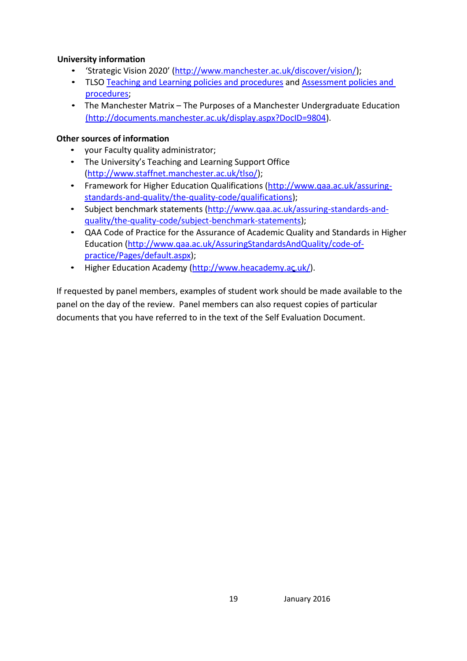## **University information**

- 'Strategic Vision 2020' ([http://www.manchester.ac.uk/discover/vision/\)](http://www.manchester.ac.uk/discover/vision/);
- TLSO [Teaching and Learning policies and procedures](http://www.staffnet.manchester.ac.uk/tlso/policy-guidance/teaching-and-learning/) and [Assessment policies and](http://www.staffnet.manchester.ac.uk/tlso/policy-guidance/assessment/)  [procedures;](http://www.staffnet.manchester.ac.uk/tlso/policy-guidance/assessment/)
- The Manchester Matrix The Purposes of a Manchester Undergraduate Education [\(http://documents.manchester.ac.uk/display.aspx?DocID=9804\)](http://documents.manchester.ac.uk/display.aspx?DocID=9804).

## **Other sources of information**

- your Faculty quality administrator;
- The University's Teaching and Learning Support Office [\(http://www.staffnet.manchester.ac.uk/tlso/\)](http://www.staffnet.manchester.ac.uk/tlso/);
- Framework for Higher Education Qualifications (http://www.qaa.ac.uk/assuringstandards-and-quality/the-quality-code/qualifications);
- Subject benchmark statements [\(http://www.qaa.ac.uk/assuring-standards-and](http://www.qaa.ac.uk/assuring-standards-and-quality/the-quality-code/subject-benchmark-statements)[quality/the-quality-code/subject-benchmark-statements\)](http://www.qaa.ac.uk/assuring-standards-and-quality/the-quality-code/subject-benchmark-statements);
- QAA Code of Practice for the Assurance of Academic Quality and Standards in Higher Education [\(http://www.qaa.ac.uk/AssuringStandardsAndQuality/code-of](http://www.qaa.ac.uk/AssuringStandardsAndQuality/code-of-practice/Pages/default.aspx)[practice/Pages/default.aspx\)](http://www.qaa.ac.uk/AssuringStandardsAndQuality/code-of-practice/Pages/default.aspx);
- Higher Education Academy [\(http://www.heacademy.ac.uk/\)](http://www.heacademy.ac.uk/).

If requested by panel members, examples of student work should be made available to the panel on the day of the review. Panel members can also request copies of particular documents that you have referred to in the text of the Self Evaluation Document.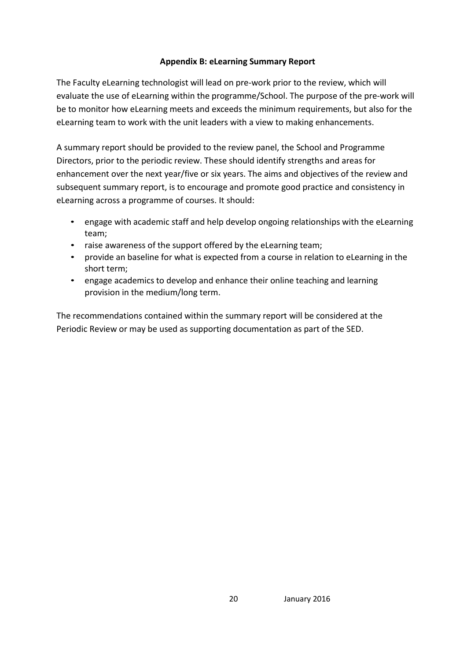## **Appendix B: eLearning Summary Report**

The Faculty eLearning technologist will lead on pre-work prior to the review, which will evaluate the use of eLearning within the programme/School. The purpose of the pre-work will be to monitor how eLearning meets and exceeds the minimum requirements, but also for the eLearning team to work with the unit leaders with a view to making enhancements.

A summary report should be provided to the review panel, the School and Programme Directors, prior to the periodic review. These should identify strengths and areas for enhancement over the next year/five or six years. The aims and objectives of the review and subsequent summary report, is to encourage and promote good practice and consistency in eLearning across a programme of courses. It should:

- engage with academic staff and help develop ongoing relationships with the eLearning team;
- raise awareness of the support offered by the eLearning team;
- provide an baseline for what is expected from a course in relation to eLearning in the short term;
- engage academics to develop and enhance their online teaching and learning provision in the medium/long term.

The recommendations contained within the summary report will be considered at the Periodic Review or may be used as supporting documentation as part of the SED.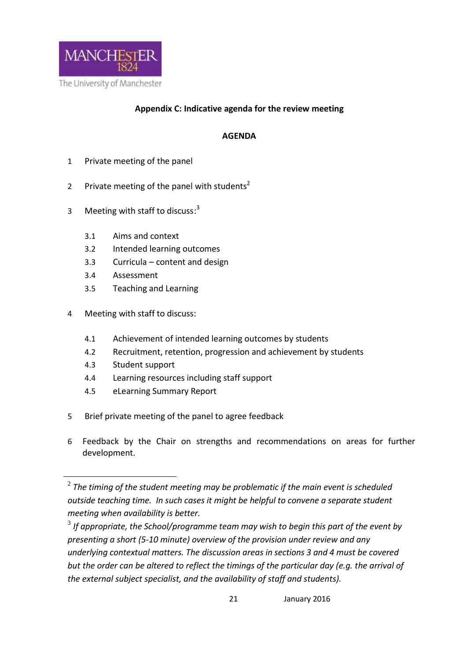

## **Appendix C: Indicative agenda for the review meeting**

## **AGENDA**

- 1 Private meeting of the panel
- 2 Private meeting of the panel with students<sup>2</sup>
- 3 Meeting with staff to discuss:<sup>3</sup>
	- 3.1 Aims and context
	- 3.2 Intended learning outcomes
	- 3.3 Curricula content and design
	- 3.4 Assessment
	- 3.5 Teaching and Learning
- 4 Meeting with staff to discuss:
	- 4.1 Achievement of intended learning outcomes by students
	- 4.2 Recruitment, retention, progression and achievement by students
	- 4.3 Student support

<u>.</u>

- 4.4 Learning resources including staff support
- 4.5 eLearning Summary Report
- 5 Brief private meeting of the panel to agree feedback
- 6 Feedback by the Chair on strengths and recommendations on areas for further development.

 $^{\rm 2}$  The timing of the student meeting may be problematic if the main event is scheduled *outside teaching time. In such cases it might be helpful to convene a separate student meeting when availability is better.*

<sup>3</sup> *If appropriate, the School/programme team may wish to begin this part of the event by presenting a short (5-10 minute) overview of the provision under review and any underlying contextual matters. The discussion areas in sections 3 and 4 must be covered but the order can be altered to reflect the timings of the particular day (e.g. the arrival of the external subject specialist, and the availability of staff and students).*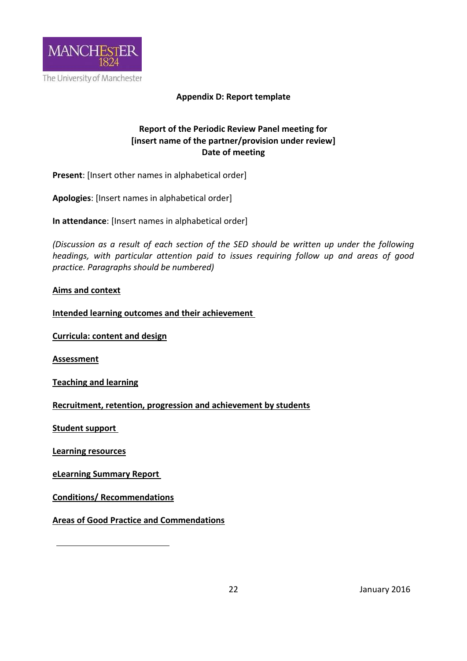

#### **Appendix D: Report template**

## **Report of the Periodic Review Panel meeting for [insert name of the partner/provision under review] Date of meeting**

**Present**: [Insert other names in alphabetical order]

**Apologies**: [Insert names in alphabetical order]

**In attendance**: [Insert names in alphabetical order]

*(Discussion as a result of each section of the SED should be written up under the following headings, with particular attention paid to issues requiring follow up and areas of good practice. Paragraphs should be numbered)*

#### **Aims and context**

**Intended learning outcomes and their achievement** 

**Curricula: content and design**

**Assessment**

**Teaching and learning**

**Recruitment, retention, progression and achievement by students**

**Student support** 

**Learning resources**

**eLearning Summary Report** 

**Conditions/ Recommendations**

**Areas of Good Practice and Commendations**